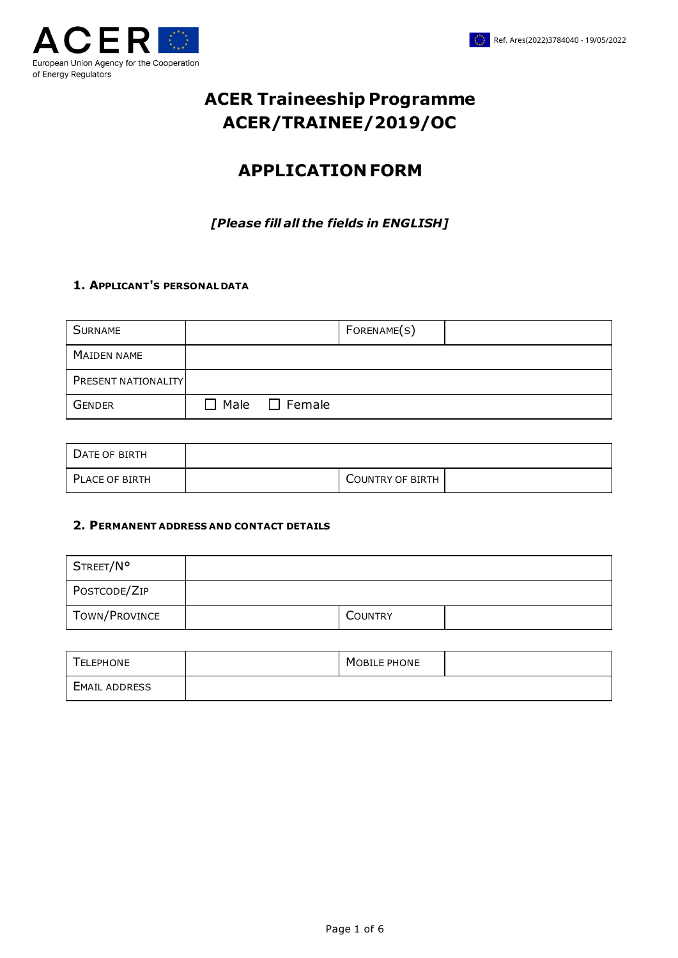

# **ACER Traineeship Programme ACER/TRAINEE/2019/OC**

# **APPLICATION FORM**

*[Please fill all the fields in ENGLISH]*

#### **1. APPLICANT'S PERSONAL DATA**

| <b>SURNAME</b>             |                           | FORENAME(S) |  |
|----------------------------|---------------------------|-------------|--|
| MAIDEN NAME                |                           |             |  |
| <b>PRESENT NATIONALITY</b> |                           |             |  |
| GENDER                     | $\Box$ Male $\Box$ Female |             |  |

| DATE OF BIRTH  |                         |  |
|----------------|-------------------------|--|
| PLACE OF BIRTH | <b>COUNTRY OF BIRTH</b> |  |

#### **2. PERMANENT ADDRESS AND CONTACT DETAILS**

| STREET/N°     |                |  |
|---------------|----------------|--|
| POSTCODE/ZIP  |                |  |
| TOWN/PROVINCE | <b>COUNTRY</b> |  |

| TELEPHONE            | MOBILE PHONE |  |
|----------------------|--------------|--|
| <b>EMAIL ADDRESS</b> |              |  |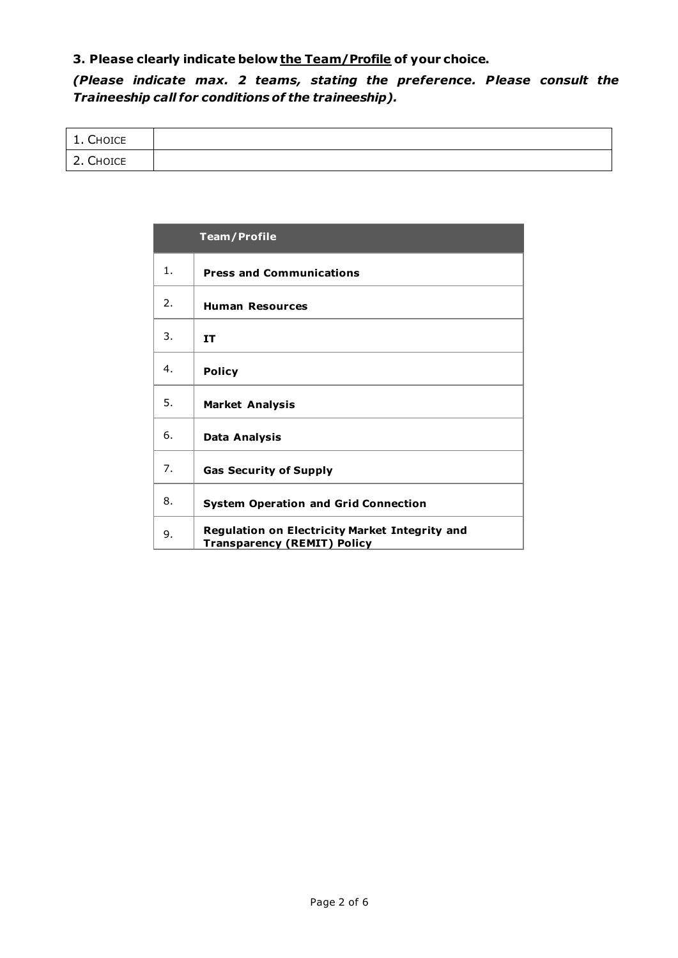## **3. Please clearly indicate below the Team/Profile of your choice.**

*(Please indicate max. 2 teams, stating the preference. Please consult the Traineeship call for conditions of the traineeship).*

| <b>CHOICE</b><br>. .             |  |
|----------------------------------|--|
| $\sqrt{2}$<br>CHOICE<br><u>.</u> |  |

|                | <b>Team/Profile</b>                                                                  |
|----------------|--------------------------------------------------------------------------------------|
| 1 <sub>1</sub> | <b>Press and Communications</b>                                                      |
| 2.             | <b>Human Resources</b>                                                               |
| 3.             | <b>IT</b>                                                                            |
| 4.             | <b>Policy</b>                                                                        |
| 5.             | <b>Market Analysis</b>                                                               |
| 6.             | Data Analysis                                                                        |
| 7.             | <b>Gas Security of Supply</b>                                                        |
| 8.             | <b>System Operation and Grid Connection</b>                                          |
| 9.             | Regulation on Electricity Market Integrity and<br><b>Transparency (REMIT) Policy</b> |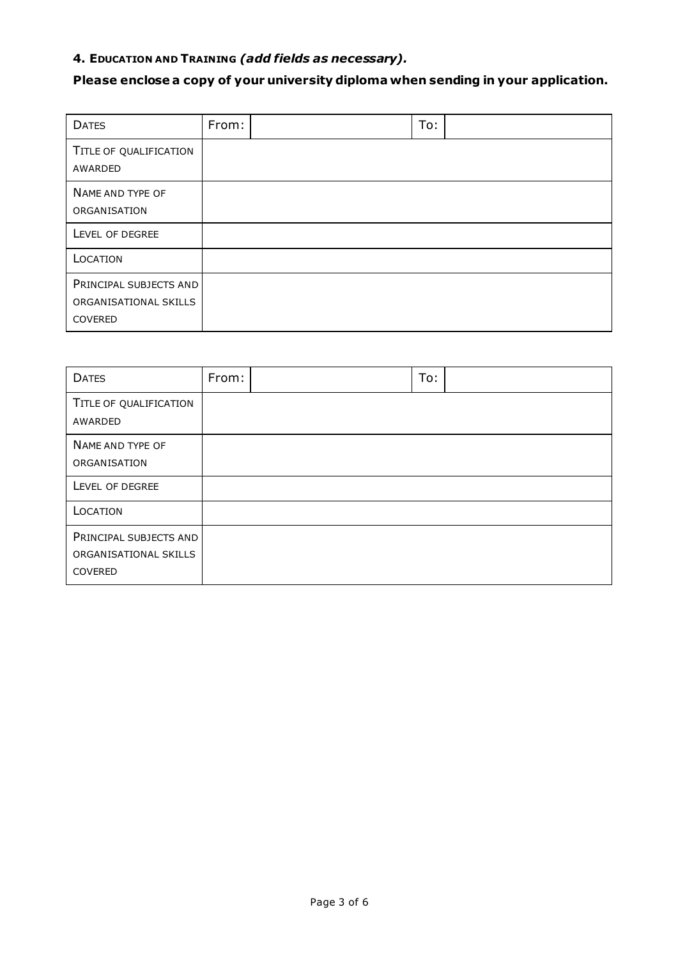# **4. EDUCATION AND TRAINING** *(add fields as necessary).*

# **Please enclose a copy of your university diploma when sending in your application.**

| <b>DATES</b>                                               | From: | To: |  |
|------------------------------------------------------------|-------|-----|--|
| TITLE OF QUALIFICATION<br>AWARDED                          |       |     |  |
| NAME AND TYPE OF<br>ORGANISATION                           |       |     |  |
| LEVEL OF DEGREE                                            |       |     |  |
| LOCATION                                                   |       |     |  |
| PRINCIPAL SUBJECTS AND<br>ORGANISATIONAL SKILLS<br>COVERED |       |     |  |

| <b>DATES</b>                                               | From: | To: |
|------------------------------------------------------------|-------|-----|
| TITLE OF QUALIFICATION<br>AWARDED                          |       |     |
| NAME AND TYPE OF<br>ORGANISATION                           |       |     |
| LEVEL OF DEGREE                                            |       |     |
| LOCATION                                                   |       |     |
| PRINCIPAL SUBJECTS AND<br>ORGANISATIONAL SKILLS<br>COVERED |       |     |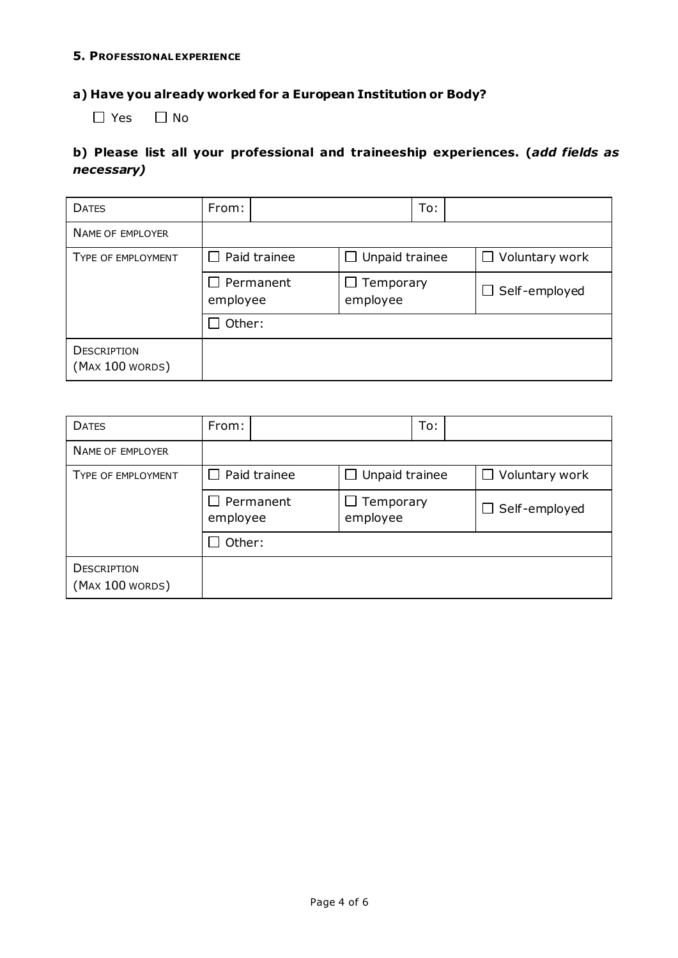#### **5. PROFESSIONAL EXPERIENCE**

#### **a) Have you already worked for a European Institution or Body?**

 $\Box$  Yes  $\Box$  No

### **b) Please list all your professional and traineeship experiences. (***add fields as necessary)*

| <b>DATES</b>                          | From:                        | To:                      |                       |  |
|---------------------------------------|------------------------------|--------------------------|-----------------------|--|
| <b>NAME OF EMPLOYER</b>               |                              |                          |                       |  |
| TYPE OF EMPLOYMENT                    | $\Box$ Paid trainee          | Unpaid trainee<br>$\Box$ | $\Box$ Voluntary work |  |
|                                       | $\Box$ Permanent<br>employee | Temporary<br>employee    | $\Box$ Self-employed  |  |
|                                       | Other:                       |                          |                       |  |
| <b>DESCRIPTION</b><br>(MAX 100 WORDs) |                              |                          |                       |  |

| <b>DATES</b>                          | From:                        | To:                      |                       |  |
|---------------------------------------|------------------------------|--------------------------|-----------------------|--|
| NAME OF EMPLOYER                      |                              |                          |                       |  |
| <b>TYPE OF EMPLOYMENT</b>             | $\Box$ Paid trainee          | Unpaid trainee<br>$\Box$ | $\Box$ Voluntary work |  |
|                                       | $\Box$ Permanent<br>employee | Temporary<br>employee    | $\Box$ Self-employed  |  |
|                                       | Other:                       |                          |                       |  |
| <b>DESCRIPTION</b><br>(MAX 100 WORDs) |                              |                          |                       |  |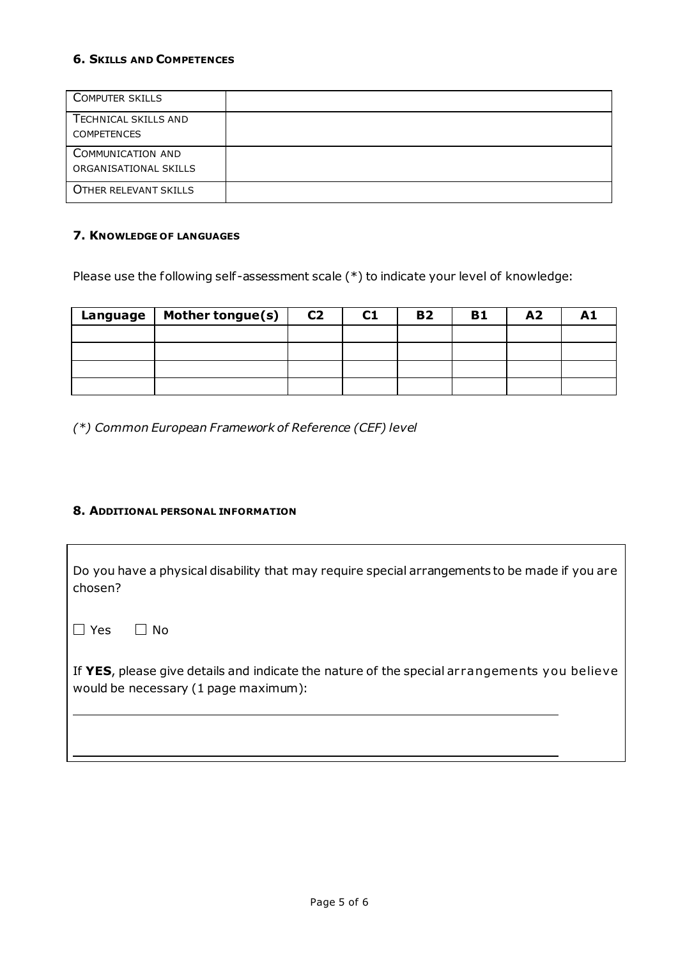#### **6. SKILLS AND COMPETENCES**

| <b>COMPUTER SKILLS</b>                     |  |
|--------------------------------------------|--|
| TECHNICAL SKILLS AND<br><b>COMPETENCES</b> |  |
| COMMUNICATION AND<br>ORGANISATIONAL SKILLS |  |
| OTHER RELEVANT SKILLS                      |  |

#### **7. KNOWLEDGE OF LANGUAGES**

Please use the following self-assessment scale (\*) to indicate your level of knowledge:

| Language | Mother tongue(s) $\vert$ | C <sub>2</sub> | C1 | <b>B2</b> | <b>B1</b> | A <sub>2</sub> |  |
|----------|--------------------------|----------------|----|-----------|-----------|----------------|--|
|          |                          |                |    |           |           |                |  |
|          |                          |                |    |           |           |                |  |
|          |                          |                |    |           |           |                |  |
|          |                          |                |    |           |           |                |  |

*(\*) Common European Framework of Reference (CEF) level*

#### **8. ADDITIONAL PERSONAL INFORMATION**

Do you have a physical disability that may require special arrangements to be made if you are chosen?

 $\Box$  Yes  $\Box$  No.

If **YES**, please give details and indicate the nature of the special ar rangements you believe would be necessary (1 page maximum):